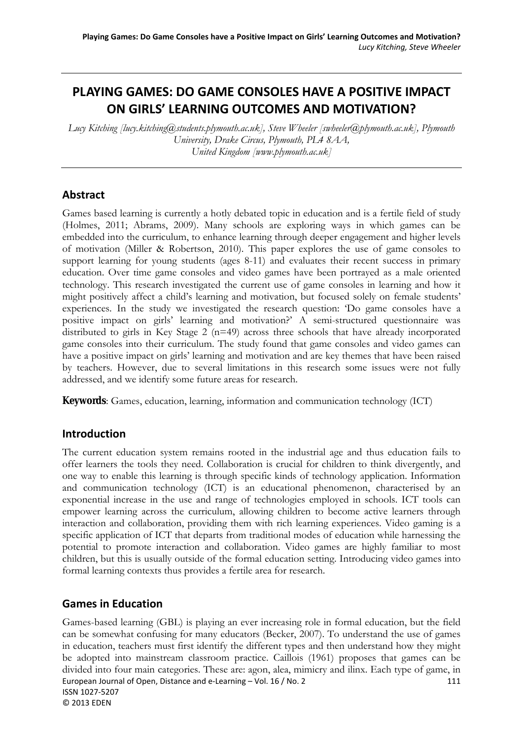# **PLAYING GAMES: DO GAME CONSOLES HAVE A POSITIVE IMPACT ON GIRLS' LEARNING OUTCOMES AND MOTIVATION?**

*Lucy Kitching [lucy.kitching@students.plymouth.ac.uk], Steve Wheeler [swheeler@plymouth.ac.uk], Plymouth University, Drake Circus, Plymouth, PL4 8AA, United Kingdom [www.plymouth.ac.uk]* 

### **Abstract**

Games based learning is currently a hotly debated topic in education and is a fertile field of study (Holmes, 2011; Abrams, 2009). Many schools are exploring ways in which games can be embedded into the curriculum, to enhance learning through deeper engagement and higher levels of motivation (Miller & Robertson, 2010). This paper explores the use of game consoles to support learning for young students (ages 8-11) and evaluates their recent success in primary education. Over time game consoles and video games have been portrayed as a male oriented technology. This research investigated the current use of game consoles in learning and how it might positively affect a child's learning and motivation, but focused solely on female students' experiences. In the study we investigated the research question: 'Do game consoles have a positive impact on girls' learning and motivation?' A semi-structured questionnaire was distributed to girls in Key Stage 2 (n=49) across three schools that have already incorporated game consoles into their curriculum. The study found that game consoles and video games can have a positive impact on girls' learning and motivation and are key themes that have been raised by teachers. However, due to several limitations in this research some issues were not fully addressed, and we identify some future areas for research.

**Keywords**: Games, education, learning, information and communication technology (ICT)

### **Introduction**

The current education system remains rooted in the industrial age and thus education fails to offer learners the tools they need. Collaboration is crucial for children to think divergently, and one way to enable this learning is through specific kinds of technology application. Information and communication technology (ICT) is an educational phenomenon, characterised by an exponential increase in the use and range of technologies employed in schools. ICT tools can empower learning across the curriculum, allowing children to become active learners through interaction and collaboration, providing them with rich learning experiences. Video gaming is a specific application of ICT that departs from traditional modes of education while harnessing the potential to promote interaction and collaboration. Video games are highly familiar to most children, but this is usually outside of the formal education setting. Introducing video games into formal learning contexts thus provides a fertile area for research.

### **Games in Education**

European Journal of Open, Distance and e-Learning – Vol. 16 / No. 2 111 ISSN 1027‐5207 © 2013 EDEN Games-based learning (GBL) is playing an ever increasing role in formal education, but the field can be somewhat confusing for many educators (Becker, 2007). To understand the use of games in education, teachers must first identify the different types and then understand how they might be adopted into mainstream classroom practice. Caillois (1961) proposes that games can be divided into four main categories. These are: agon, alea, mimicry and ilinx. Each type of game, in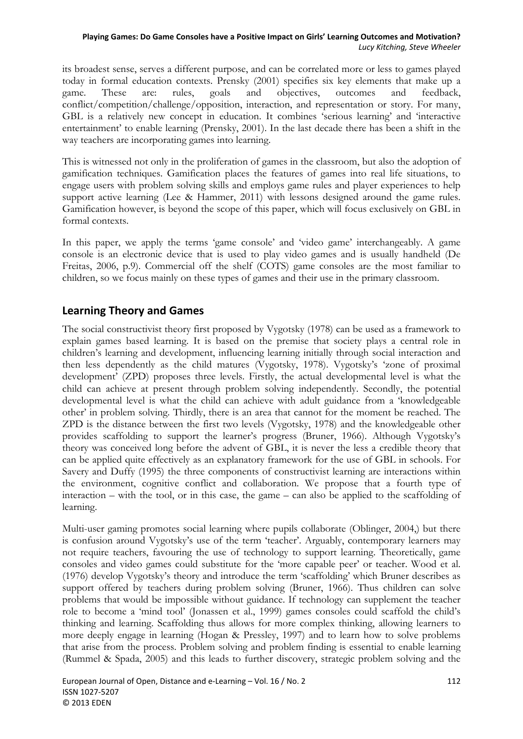its broadest sense, serves a different purpose, and can be correlated more or less to games played today in formal education contexts. Prensky (2001) specifies six key elements that make up a game. These are: rules, goals and objectives, outcomes and feedback, conflict/competition/challenge/opposition, interaction, and representation or story. For many, GBL is a relatively new concept in education. It combines 'serious learning' and 'interactive entertainment' to enable learning (Prensky, 2001). In the last decade there has been a shift in the way teachers are incorporating games into learning.

This is witnessed not only in the proliferation of games in the classroom, but also the adoption of gamification techniques. Gamification places the features of games into real life situations, to engage users with problem solving skills and employs game rules and player experiences to help support active learning (Lee & Hammer, 2011) with lessons designed around the game rules. Gamification however, is beyond the scope of this paper, which will focus exclusively on GBL in formal contexts.

In this paper, we apply the terms 'game console' and 'video game' interchangeably. A game console is an electronic device that is used to play video games and is usually handheld (De Freitas, 2006, p.9). Commercial off the shelf (COTS) game consoles are the most familiar to children, so we focus mainly on these types of games and their use in the primary classroom.

# **Learning Theory and Games**

The social constructivist theory first proposed by Vygotsky (1978) can be used as a framework to explain games based learning. It is based on the premise that society plays a central role in children's learning and development, influencing learning initially through social interaction and then less dependently as the child matures (Vygotsky, 1978). Vygotsky's 'zone of proximal development' (ZPD) proposes three levels. Firstly, the actual developmental level is what the child can achieve at present through problem solving independently. Secondly, the potential developmental level is what the child can achieve with adult guidance from a 'knowledgeable other' in problem solving. Thirdly, there is an area that cannot for the moment be reached. The ZPD is the distance between the first two levels (Vygotsky, 1978) and the knowledgeable other provides scaffolding to support the learner's progress (Bruner, 1966). Although Vygotsky's theory was conceived long before the advent of GBL, it is never the less a credible theory that can be applied quite effectively as an explanatory framework for the use of GBL in schools. For Savery and Duffy (1995) the three components of constructivist learning are interactions within the environment, cognitive conflict and collaboration. We propose that a fourth type of interaction – with the tool, or in this case, the game – can also be applied to the scaffolding of learning.

Multi-user gaming promotes social learning where pupils collaborate (Oblinger, 2004,) but there is confusion around Vygotsky's use of the term 'teacher'. Arguably, contemporary learners may not require teachers, favouring the use of technology to support learning. Theoretically, game consoles and video games could substitute for the 'more capable peer' or teacher. Wood et al. (1976) develop Vygotsky's theory and introduce the term 'scaffolding' which Bruner describes as support offered by teachers during problem solving (Bruner, 1966). Thus children can solve problems that would be impossible without guidance. If technology can supplement the teacher role to become a 'mind tool' (Jonassen et al., 1999) games consoles could scaffold the child's thinking and learning. Scaffolding thus allows for more complex thinking, allowing learners to more deeply engage in learning (Hogan & Pressley, 1997) and to learn how to solve problems that arise from the process. Problem solving and problem finding is essential to enable learning (Rummel & Spada, 2005) and this leads to further discovery, strategic problem solving and the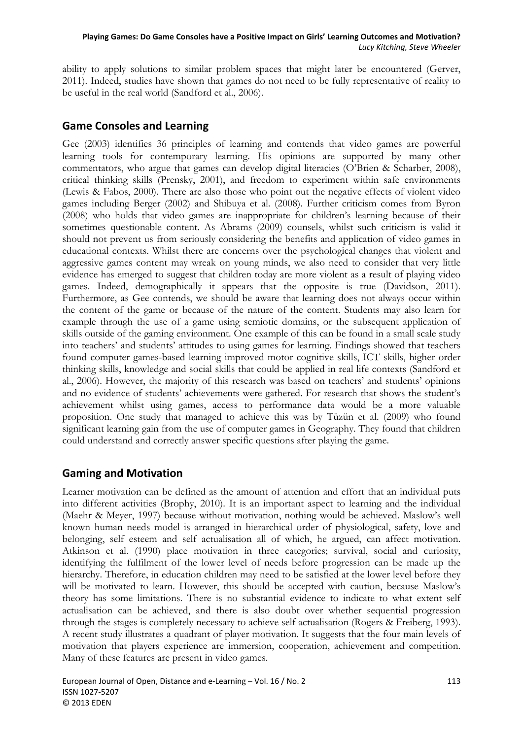ability to apply solutions to similar problem spaces that might later be encountered (Gerver, 2011). Indeed, studies have shown that games do not need to be fully representative of reality to be useful in the real world (Sandford et al., 2006).

# **Game Consoles and Learning**

Gee (2003) identifies 36 principles of learning and contends that video games are powerful learning tools for contemporary learning. His opinions are supported by many other commentators, who argue that games can develop digital literacies (O'Brien & Scharber, 2008), critical thinking skills (Prensky, 2001), and freedom to experiment within safe environments (Lewis & Fabos, 2000). There are also those who point out the negative effects of violent video games including Berger (2002) and Shibuya et al. (2008). Further criticism comes from Byron (2008) who holds that video games are inappropriate for children's learning because of their sometimes questionable content. As Abrams (2009) counsels, whilst such criticism is valid it should not prevent us from seriously considering the benefits and application of video games in educational contexts. Whilst there are concerns over the psychological changes that violent and aggressive games content may wreak on young minds, we also need to consider that very little evidence has emerged to suggest that children today are more violent as a result of playing video games. Indeed, demographically it appears that the opposite is true (Davidson, 2011). Furthermore, as Gee contends, we should be aware that learning does not always occur within the content of the game or because of the nature of the content. Students may also learn for example through the use of a game using semiotic domains, or the subsequent application of skills outside of the gaming environment. One example of this can be found in a small scale study into teachers' and students' attitudes to using games for learning. Findings showed that teachers found computer games-based learning improved motor cognitive skills, ICT skills, higher order thinking skills, knowledge and social skills that could be applied in real life contexts (Sandford et al., 2006). However, the majority of this research was based on teachers' and students' opinions and no evidence of students' achievements were gathered. For research that shows the student's achievement whilst using games, access to performance data would be a more valuable proposition. One study that managed to achieve this was by Tüzün et al. (2009) who found significant learning gain from the use of computer games in Geography. They found that children could understand and correctly answer specific questions after playing the game.

### **Gaming and Motivation**

Learner motivation can be defined as the amount of attention and effort that an individual puts into different activities (Brophy, 2010). It is an important aspect to learning and the individual (Maehr & Meyer, 1997) because without motivation, nothing would be achieved. Maslow's well known human needs model is arranged in hierarchical order of physiological, safety, love and belonging, self esteem and self actualisation all of which, he argued, can affect motivation. Atkinson et al. (1990) place motivation in three categories; survival, social and curiosity, identifying the fulfilment of the lower level of needs before progression can be made up the hierarchy. Therefore, in education children may need to be satisfied at the lower level before they will be motivated to learn. However, this should be accepted with caution, because Maslow's theory has some limitations. There is no substantial evidence to indicate to what extent self actualisation can be achieved, and there is also doubt over whether sequential progression through the stages is completely necessary to achieve self actualisation (Rogers & Freiberg, 1993). A recent study illustrates a quadrant of player motivation. It suggests that the four main levels of motivation that players experience are immersion, cooperation, achievement and competition. Many of these features are present in video games.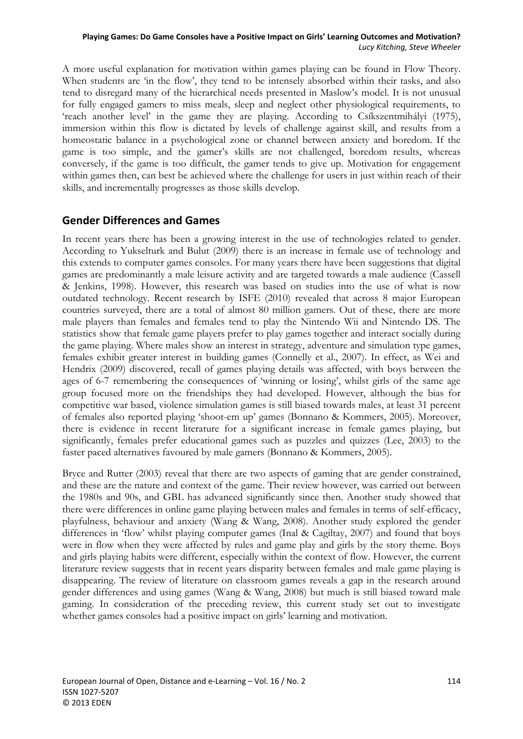A more useful explanation for motivation within games playing can be found in Flow Theory. When students are 'in the flow', they tend to be intensely absorbed within their tasks, and also tend to disregard many of the hierarchical needs presented in Maslow's model. It is not unusual for fully engaged gamers to miss meals, sleep and neglect other physiological requirements, to 'reach another level' in the game they are playing. According to [Csíkszentmihályi](http://en.wikipedia.org/wiki/Mihaly_Csikszentmihalyi) (1975), immersion within this flow is dictated by levels of challenge against skill, and results from a homeostatic balance in a psychological zone or channel between anxiety and boredom. If the game is too simple, and the gamer's skills are not challenged, boredom results, whereas conversely, if the game is too difficult, the gamer tends to give up. Motivation for engagement within games then, can best be achieved where the challenge for users in just within reach of their skills, and incrementally progresses as those skills develop.

### **Gender Differences and Games**

In recent years there has been a growing interest in the use of technologies related to gender. According to Yukselturk and Bulut (2009) there is an increase in female use of technology and this extends to computer games consoles. For many years there have been suggestions that digital games are predominantly a male leisure activity and are targeted towards a male audience (Cassell & Jenkins, 1998). However, this research was based on studies into the use of what is now outdated technology. Recent research by ISFE (2010) revealed that across 8 major European countries surveyed, there are a total of almost 80 million gamers. Out of these, there are more male players than females and females tend to play the Nintendo Wii and Nintendo DS. The statistics show that female game players prefer to play games together and interact socially during the game playing. Where males show an interest in strategy, adventure and simulation type games, females exhibit greater interest in building games (Connelly et al., 2007). In effect, as Wei and Hendrix (2009) discovered, recall of games playing details was affected, with boys between the ages of 6-7 remembering the consequences of 'winning or losing', whilst girls of the same age group focused more on the friendships they had developed. However, although the bias for competitive war based, violence simulation games is still biased towards males, at least 31 percent of females also reported playing 'shoot-em up' games (Bonnano & Kommers, 2005). Moreover, there is evidence in recent literature for a significant increase in female games playing, but significantly, females prefer educational games such as puzzles and quizzes (Lee, 2003) to the faster paced alternatives favoured by male gamers (Bonnano & Kommers, 2005).

Bryce and Rutter (2003) reveal that there are two aspects of gaming that are gender constrained, and these are the nature and context of the game. Their review however, was carried out between the 1980s and 90s, and GBL has advanced significantly since then. Another study showed that there were differences in online game playing between males and females in terms of self-efficacy, playfulness, behaviour and anxiety (Wang & Wang, 2008). Another study explored the gender differences in 'flow' whilst playing computer games (Inal & Cagiltay, 2007) and found that boys were in flow when they were affected by rules and game play and girls by the story theme. Boys and girls playing habits were different, especially within the context of flow. However, the current literature review suggests that in recent years disparity between females and male game playing is disappearing. The review of literature on classroom games reveals a gap in the research around gender differences and using games (Wang & Wang, 2008) but much is still biased toward male gaming. In consideration of the preceding review, this current study set out to investigate whether games consoles had a positive impact on girls' learning and motivation.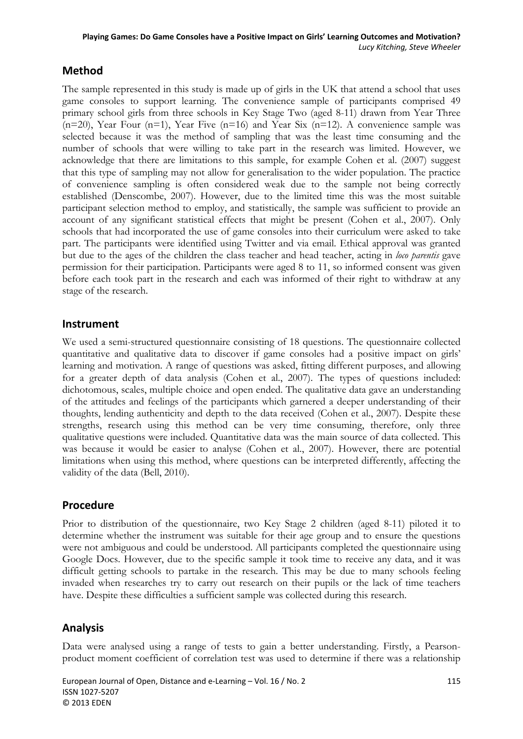# **Method**

The sample represented in this study is made up of girls in the UK that attend a school that uses game consoles to support learning. The convenience sample of participants comprised 49 primary school girls from three schools in Key Stage Two (aged 8-11) drawn from Year Three  $(n=20)$ , Year Four  $(n=1)$ , Year Five  $(n=16)$  and Year Six  $(n=12)$ . A convenience sample was selected because it was the method of sampling that was the least time consuming and the number of schools that were willing to take part in the research was limited. However, we acknowledge that there are limitations to this sample, for example Cohen et al. (2007) suggest that this type of sampling may not allow for generalisation to the wider population. The practice of convenience sampling is often considered weak due to the sample not being correctly established (Denscombe, 2007). However, due to the limited time this was the most suitable participant selection method to employ, and statistically, the sample was sufficient to provide an account of any significant statistical effects that might be present (Cohen et al., 2007). Only schools that had incorporated the use of game consoles into their curriculum were asked to take part. The participants were identified using Twitter and via email. Ethical approval was granted but due to the ages of the children the class teacher and head teacher, acting in *loco parentis* gave permission for their participation. Participants were aged 8 to 11, so informed consent was given before each took part in the research and each was informed of their right to withdraw at any stage of the research.

### **Instrument**

We used a semi-structured questionnaire consisting of 18 questions. The questionnaire collected quantitative and qualitative data to discover if game consoles had a positive impact on girls' learning and motivation. A range of questions was asked, fitting different purposes, and allowing for a greater depth of data analysis (Cohen et al., 2007). The types of questions included: dichotomous, scales, multiple choice and open ended. The qualitative data gave an understanding of the attitudes and feelings of the participants which garnered a deeper understanding of their thoughts, lending authenticity and depth to the data received (Cohen et al., 2007). Despite these strengths, research using this method can be very time consuming, therefore, only three qualitative questions were included. Quantitative data was the main source of data collected. This was because it would be easier to analyse (Cohen et al., 2007). However, there are potential limitations when using this method, where questions can be interpreted differently, affecting the validity of the data (Bell, 2010).

### **Procedure**

Prior to distribution of the questionnaire, two Key Stage 2 children (aged 8-11) piloted it to determine whether the instrument was suitable for their age group and to ensure the questions were not ambiguous and could be understood. All participants completed the questionnaire using Google Docs. However, due to the specific sample it took time to receive any data, and it was difficult getting schools to partake in the research. This may be due to many schools feeling invaded when researches try to carry out research on their pupils or the lack of time teachers have. Despite these difficulties a sufficient sample was collected during this research.

# **Analysis**

Data were analysed using a range of tests to gain a better understanding. Firstly, a Pearsonproduct moment coefficient of correlation test was used to determine if there was a relationship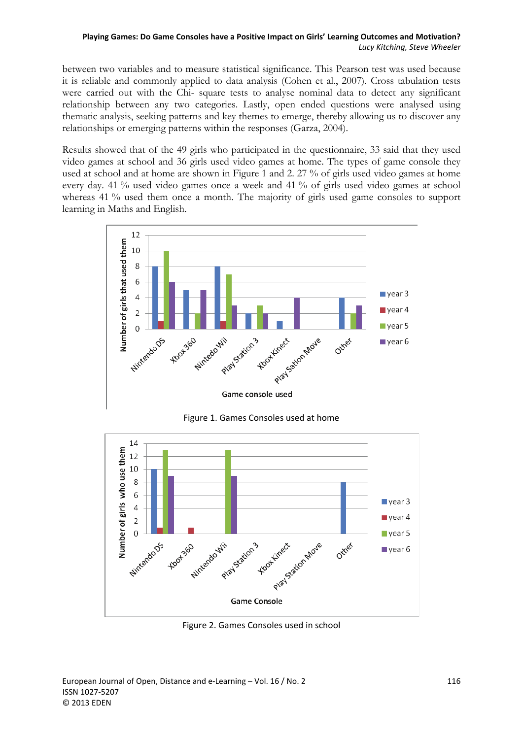between two variables and to measure statistical significance. This Pearson test was used because it is reliable and commonly applied to data analysis (Cohen et al., 2007). Cross tabulation tests were carried out with the Chi- square tests to analyse nominal data to detect any significant relationship between any two categories. Lastly, open ended questions were analysed using thematic analysis, seeking patterns and key themes to emerge, thereby allowing us to discover any relationships or emerging patterns within the responses (Garza, 2004).

Results showed that of the 49 girls who participated in the questionnaire, 33 said that they used video games at school and 36 girls used video games at home. The types of game console they used at school and at home are shown in Figure 1 and 2. 27 % of girls used video games at home every day. 41 % used video games once a week and 41 % of girls used video games at school whereas 41 % used them once a month. The majority of girls used game consoles to support learning in Maths and English.



Figure 1. Games Consoles used at home



Figure 2. Games Consoles used in school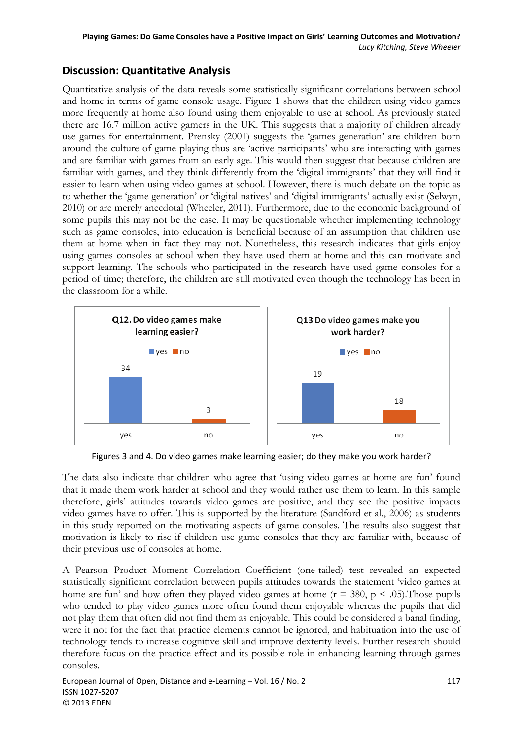# **Discussion: Quantitative Analysis**

Quantitative analysis of the data reveals some statistically significant correlations between school and home in terms of game console usage. Figure 1 shows that the children using video games more frequently at home also found using them enjoyable to use at school. As previously stated there are 16.7 million active gamers in the UK. This suggests that a majority of children already use games for entertainment. Prensky (2001) suggests the 'games generation' are children born around the culture of game playing thus are 'active participants' who are interacting with games and are familiar with games from an early age. This would then suggest that because children are familiar with games, and they think differently from the 'digital immigrants' that they will find it easier to learn when using video games at school. However, there is much debate on the topic as to whether the 'game generation' or 'digital natives' and 'digital immigrants' actually exist (Selwyn, 2010) or are merely anecdotal (Wheeler, 2011). Furthermore, due to the economic background of some pupils this may not be the case. It may be questionable whether implementing technology such as game consoles, into education is beneficial because of an assumption that children use them at home when in fact they may not. Nonetheless, this research indicates that girls enjoy using games consoles at school when they have used them at home and this can motivate and support learning. The schools who participated in the research have used game consoles for a period of time; therefore, the children are still motivated even though the technology has been in the classroom for a while.



Figures 3 and 4. Do video games make learning easier; do they make you work harder?

The data also indicate that children who agree that 'using video games at home are fun' found that it made them work harder at school and they would rather use them to learn. In this sample therefore, girls' attitudes towards video games are positive, and they see the positive impacts video games have to offer. This is supported by the literature (Sandford et al., 2006) as students in this study reported on the motivating aspects of game consoles. The results also suggest that motivation is likely to rise if children use game consoles that they are familiar with, because of their previous use of consoles at home.

A Pearson Product Moment Correlation Coefficient (one-tailed) test revealed an expected statistically significant correlation between pupils attitudes towards the statement 'video games at home are fun' and how often they played video games at home ( $r = 380$ ,  $p < .05$ ). Those pupils who tended to play video games more often found them enjoyable whereas the pupils that did not play them that often did not find them as enjoyable. This could be considered a banal finding, were it not for the fact that practice elements cannot be ignored, and habituation into the use of technology tends to increase cognitive skill and improve dexterity levels. Further research should therefore focus on the practice effect and its possible role in enhancing learning through games consoles.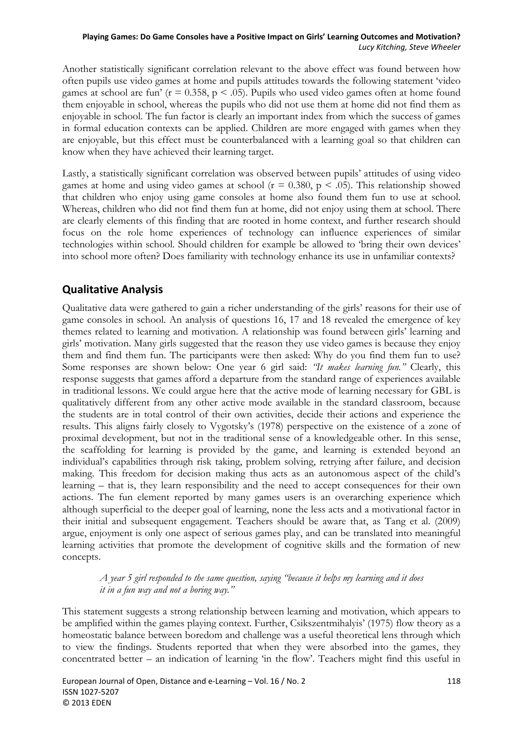Another statistically significant correlation relevant to the above effect was found between how often pupils use video games at home and pupils attitudes towards the following statement 'video games at school are fun' ( $r = 0.358$ ,  $p < .05$ ). Pupils who used video games often at home found them enjoyable in school, whereas the pupils who did not use them at home did not find them as enjoyable in school. The fun factor is clearly an important index from which the success of games in formal education contexts can be applied. Children are more engaged with games when they are enjoyable, but this effect must be counterbalanced with a learning goal so that children can know when they have achieved their learning target.

Lastly, a statistically significant correlation was observed between pupils' attitudes of using video games at home and using video games at school ( $r = 0.380$ ,  $p < .05$ ). This relationship showed that children who enjoy using game consoles at home also found them fun to use at school. Whereas, children who did not find them fun at home, did not enjoy using them at school. There are clearly elements of this finding that are rooted in home context, and further research should focus on the role home experiences of technology can influence experiences of similar technologies within school. Should children for example be allowed to 'bring their own devices' into school more often? Does familiarity with technology enhance its use in unfamiliar contexts?

# **Qualitative Analysis**

Qualitative data were gathered to gain a richer understanding of the girls' reasons for their use of game consoles in school. An analysis of questions 16, 17 and 18 revealed the emergence of key themes related to learning and motivation. A relationship was found between girls' learning and girls' motivation. Many girls suggested that the reason they use video games is because they enjoy them and find them fun. The participants were then asked: Why do you find them fun to use? Some responses are shown below: One year 6 girl said: *"It makes learning fun."* Clearly, this response suggests that games afford a departure from the standard range of experiences available in traditional lessons. We could argue here that the active mode of learning necessary for GBL is qualitatively different from any other active mode available in the standard classroom, because the students are in total control of their own activities, decide their actions and experience the results. This aligns fairly closely to Vygotsky's (1978) perspective on the existence of a zone of proximal development, but not in the traditional sense of a knowledgeable other. In this sense, the scaffolding for learning is provided by the game, and learning is extended beyond an individual's capabilities through risk taking, problem solving, retrying after failure, and decision making. This freedom for decision making thus acts as an autonomous aspect of the child's learning – that is, they learn responsibility and the need to accept consequences for their own actions. The fun element reported by many games users is an overarching experience which although superficial to the deeper goal of learning, none the less acts and a motivational factor in their initial and subsequent engagement. Teachers should be aware that, as Tang et al. (2009) argue, enjoyment is only one aspect of serious games play, and can be translated into meaningful learning activities that promote the development of cognitive skills and the formation of new concepts.

### *A year 5 girl responded to the same question, saying "because it helps my learning and it does it in a fun way and not a boring way."*

This statement suggests a strong relationship between learning and motivation, which appears to be amplified within the games playing context. Further, Csikszentmihalyis' (1975) flow theory as a homeostatic balance between boredom and challenge was a useful theoretical lens through which to view the findings. Students reported that when they were absorbed into the games, they concentrated better – an indication of learning 'in the flow'. Teachers might find this useful in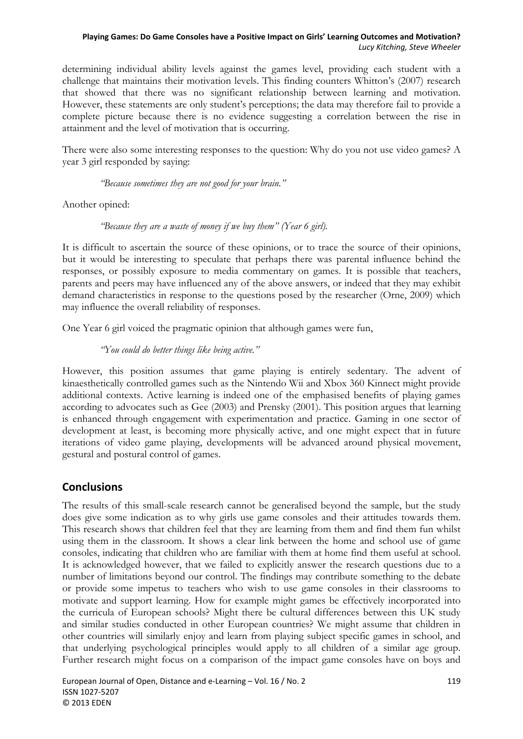determining individual ability levels against the games level, providing each student with a challenge that maintains their motivation levels. This finding counters Whitton's (2007) research that showed that there was no significant relationship between learning and motivation. However, these statements are only student's perceptions; the data may therefore fail to provide a complete picture because there is no evidence suggesting a correlation between the rise in attainment and the level of motivation that is occurring.

There were also some interesting responses to the question: Why do you not use video games? A year 3 girl responded by saying:

*"Because sometimes they are not good for your brain."* 

Another opined:

*"Because they are a waste of money if we buy them" (Year 6 girl).* 

It is difficult to ascertain the source of these opinions, or to trace the source of their opinions, but it would be interesting to speculate that perhaps there was parental influence behind the responses, or possibly exposure to media commentary on games. It is possible that teachers, parents and peers may have influenced any of the above answers, or indeed that they may exhibit demand characteristics in response to the questions posed by the researcher (Orne, 2009) which may influence the overall reliability of responses.

One Year 6 girl voiced the pragmatic opinion that although games were fun,

*"You could do better things like being active."* 

However, this position assumes that game playing is entirely sedentary. The advent of kinaesthetically controlled games such as the Nintendo Wii and Xbox 360 Kinnect might provide additional contexts. Active learning is indeed one of the emphasised benefits of playing games according to advocates such as Gee (2003) and Prensky (2001). This position argues that learning is enhanced through engagement with experimentation and practice. Gaming in one sector of development at least, is becoming more physically active, and one might expect that in future iterations of video game playing, developments will be advanced around physical movement, gestural and postural control of games.

# **Conclusions**

The results of this small-scale research cannot be generalised beyond the sample, but the study does give some indication as to why girls use game consoles and their attitudes towards them. This research shows that children feel that they are learning from them and find them fun whilst using them in the classroom. It shows a clear link between the home and school use of game consoles, indicating that children who are familiar with them at home find them useful at school. It is acknowledged however, that we failed to explicitly answer the research questions due to a number of limitations beyond our control. The findings may contribute something to the debate or provide some impetus to teachers who wish to use game consoles in their classrooms to motivate and support learning. How for example might games be effectively incorporated into the curricula of European schools? Might there be cultural differences between this UK study and similar studies conducted in other European countries? We might assume that children in other countries will similarly enjoy and learn from playing subject specific games in school, and that underlying psychological principles would apply to all children of a similar age group. Further research might focus on a comparison of the impact game consoles have on boys and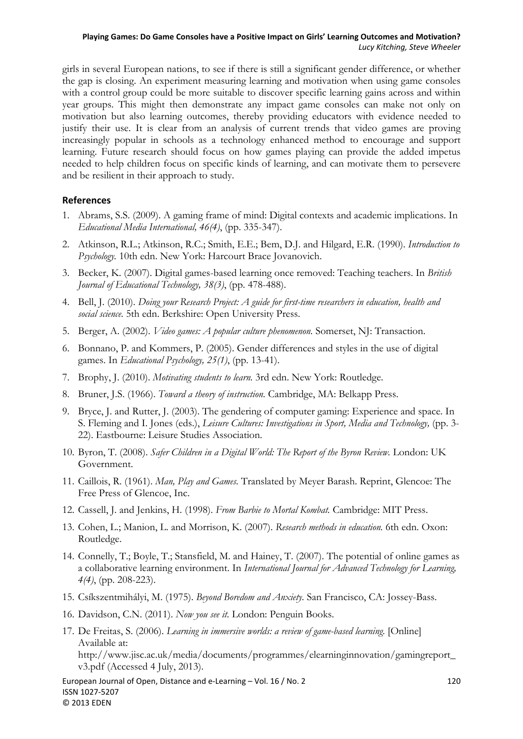girls in several European nations, to see if there is still a significant gender difference, or whether the gap is closing. An experiment measuring learning and motivation when using game consoles with a control group could be more suitable to discover specific learning gains across and within year groups. This might then demonstrate any impact game consoles can make not only on motivation but also learning outcomes, thereby providing educators with evidence needed to justify their use. It is clear from an analysis of current trends that video games are proving increasingly popular in schools as a technology enhanced method to encourage and support learning. Future research should focus on how games playing can provide the added impetus needed to help children focus on specific kinds of learning, and can motivate them to persevere and be resilient in their approach to study.

#### **References**

- 1. Abrams, S.S. (2009). A gaming frame of mind: Digital contexts and academic implications. In *Educational Media International, 46(4)*, (pp. 335-347).
- 2. Atkinson, R.L.; Atkinson, R.C.; Smith, E.E.; Bem, D.J. and Hilgard, E.R. (1990). *Introduction to Psychology.* 10th edn. New York: Harcourt Brace Jovanovich.
- 3. Becker, K. (2007). Digital games-based learning once removed: Teaching teachers. In *British Journal of Educational Technology, 38(3)*, (pp. 478-488).
- 4. Bell, J. (2010). *Doing your Research Project: A guide for first-time researchers in education, health and social science.* 5th edn. Berkshire: Open University Press.
- 5. Berger, A. (2002). *Video games: A popular culture phenomenon.* Somerset, NJ: Transaction.
- 6. Bonnano, P. and Kommers, P. (2005). Gender differences and styles in the use of digital games. In *Educational Psychology, 25(1)*, (pp. 13-41).
- 7. Brophy, J. (2010). *Motivating students to learn.* 3rd edn. New York: Routledge.
- 8. Bruner, J.S. (1966). *Toward a theory of instruction.* Cambridge, MA: Belkapp Press.
- 9. Bryce, J. and Rutter, J. (2003). The gendering of computer gaming: Experience and space. In S. Fleming and I. Jones (eds.), *Leisure Cultures: Investigations in Sport, Media and Technology,* (pp. 3- 22). Eastbourne: Leisure Studies Association.
- 10. Byron, T. (2008). *Safer Children in a Digital World: The Report of the Byron Review.* London: UK Government.
- 11. Caillois, R. (1961). *Man, Play and Games.* Translated by Meyer Barash. Reprint, Glencoe: The Free Press of Glencoe, Inc.
- 12. Cassell, J. and Jenkins, H. (1998). *From Barbie to Mortal Kombat.* Cambridge: MIT Press.
- 13. Cohen, L.; Manion, L. and Morrison, K. (2007). *Research methods in education.* 6th edn. Oxon: Routledge.
- 14. Connelly, T.; Boyle, T.; Stansfield, M. and Hainey, T. (2007). The potential of online games as a collaborative learning environment. In *International Journal for Advanced Technology for Learning, 4(4)*, (pp. 208-223).
- 15. Csíkszentmihályi, M. (1975). *Beyond Boredom and Anxiety.* San Francisco, CA: Jossey-Bass.
- 16. Davidson, C.N. (2011). *Now you see it.* London: Penguin Books.
- 17. De Freitas, S. (2006). *Learning in immersive worlds: a review of game-based learning.* [Online] Available at: http://www.jisc.ac.uk/media/documents/programmes/elearninginnovation/gamingreport\_ v3.pdf (Accessed 4 July, 2013).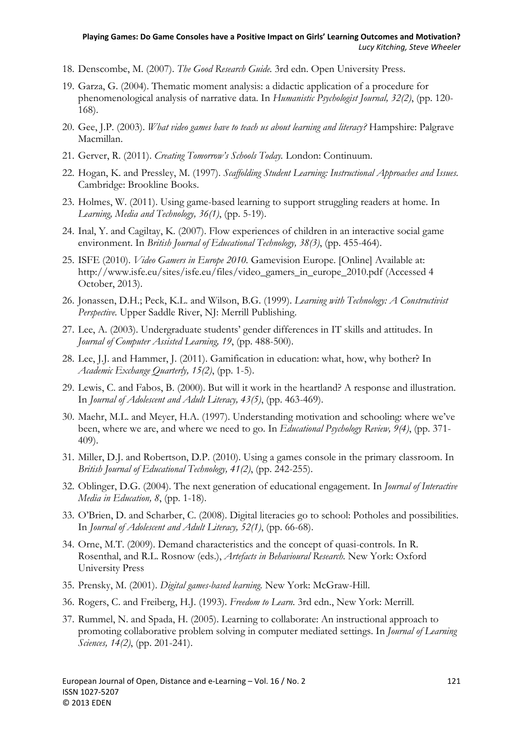- 18. Denscombe, M. (2007). *The Good Research Guide.* 3rd edn. Open University Press.
- 19. Garza, G. (2004). Thematic moment analysis: a didactic application of a procedure for phenomenological analysis of narrative data. In *Humanistic Psychologist Journal, 32(2)*, (pp. 120- 168).
- 20. Gee, J.P. (2003). *What video games have to teach us about learning and literacy?* Hampshire: Palgrave Macmillan.
- 21. Gerver, R. (2011). *Creating Tomorrow's Schools Today.* London: Continuum.
- 22. Hogan, K. and Pressley, M. (1997). *Scaffolding Student Learning: Instructional Approaches and Issues.* Cambridge: Brookline Books.
- 23. Holmes, W. (2011). Using game-based learning to support struggling readers at home. In *Learning, Media and Technology, 36(1)*, (pp. 5-19).
- 24. Inal, Y. and Cagiltay, K. (2007). Flow experiences of children in an interactive social game environment. In *British Journal of Educational Technology, 38(3)*, (pp. 455-464).
- 25. ISFE (2010). *Video Gamers in Europe 2010.* Gamevision Europe. [Online] Available at: http://www.isfe.eu/sites/isfe.eu/files/video\_gamers\_in\_europe\_2010.pdf (Accessed 4 October, 2013).
- 26. Jonassen, D.H.; Peck, K.L. and Wilson, B.G. (1999). *Learning with Technology: A Constructivist Perspective.* Upper Saddle River, NJ: Merrill Publishing.
- 27. Lee, A. (2003). Undergraduate students' gender differences in IT skills and attitudes. In *Journal of Computer Assisted Learning, 19*, (pp. 488-500).
- 28. Lee, J.J. and Hammer, J. (2011). Gamification in education: what, how, why bother? In *Academic Exchange Quarterly, 15(2)*, (pp. 1-5).
- 29. Lewis, C. and Fabos, B. (2000). But will it work in the heartland? A response and illustration. In *Journal of Adolescent and Adult Literacy, 43(5)*, (pp. 463-469).
- 30. Maehr, M.L. and Meyer, H.A. (1997). Understanding motivation and schooling: where we've been, where we are, and where we need to go. In *Educational Psychology Review, 9(4)*, (pp. 371- 409).
- 31. Miller, D.J. and Robertson, D.P. (2010). Using a games console in the primary classroom. In *British Journal of Educational Technology, 41(2)*, (pp. 242-255).
- 32. Oblinger, D.G. (2004). The next generation of educational engagement. In *Journal of Interactive Media in Education, 8*, (pp. 1-18).
- 33. O'Brien, D. and Scharber, C. (2008). Digital literacies go to school: Potholes and possibilities. In *Journal of Adolescent and Adult Literacy, 52(1)*, (pp. 66-68).
- 34. Orne, M.T. (2009). Demand characteristics and the concept of quasi-controls. In R. Rosenthal, and R.L. Rosnow (eds.), *Artefacts in Behavioural Research.* New York: Oxford University Press
- 35. Prensky, M. (2001). *Digital games-based learning.* New York: McGraw-Hill.
- 36. Rogers, C. and Freiberg, H.J. (1993). *Freedom to Learn.* 3rd edn., New York: Merrill.
- 37. Rummel, N. and Spada, H. (2005). Learning to collaborate: An instructional approach to promoting collaborative problem solving in computer mediated settings. In *Journal of Learning Sciences, 14(2)*, (pp. 201-241).